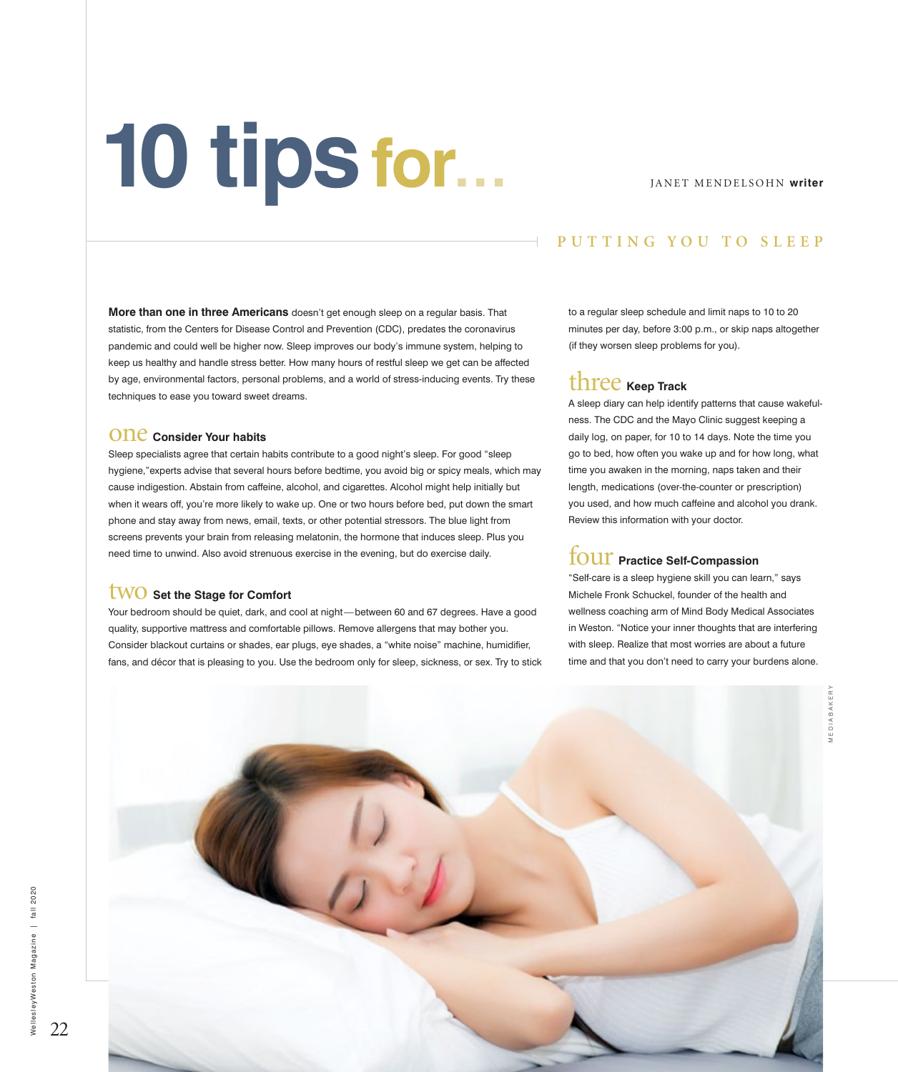# **10 tipsfor…**

#### JANET MENDELSOHN **writer**

### **PUTTING YOU TO SLEEP**

**More than one in three Americans** doesn't get enough sleep on a regular basis. That statistic, from the Centers for Disease Control and Prevention (CDC), predates the coronavirus pandemic and could well be higher now. Sleep improves our body's immune system, helping to keep us healthy and handle stress better. How many hours of restful sleep we get can be affected by age, environmental factors, personal problems, and a world of stress-inducing events. Try these techniques to ease you toward sweet dreams.

#### **ONC** Consider Your habits

Sleep specialists agree that certain habits contribute to a good night's sleep. For good "sleep hygiene,"experts advise that several hours before bedtime, you avoid big or spicy meals, which may cause indigestion. Abstain from caffeine, alcohol, and cigarettes. Alcohol might help initially but when it wears off, you're more likely to wake up. One or two hours before bed, put down the smart phone and stay away from news, email, texts, or other potential stressors. The blue light from screens prevents your brain from releasing melatonin, the hormone that induces sleep. Plus you need time to unwind. Also avoid strenuous exercise in the evening, but do exercise daily.

#### two **Set the Stage for Comfort**

Your bedroom should be quiet, dark, and cool at night— between 60 and 67 degrees. Have a good quality, supportive mattress and comfortable pillows. Remove allergens that may bother you. Consider blackout curtains or shades, ear plugs, eye shades, a "white noise" machine, humidifier, fans, and décor that is pleasing to you. Use the bedroom only for sleep, sickness, or sex. Try to stick to a regular sleep schedule and limit naps to 10 to 20 minutes per day, before 3:00 p.m., or skip naps altogether (if they worsen sleep problems for you).

# three **Keep Track**

A sleep diary can help identify patterns that cause wakefulness. The CDC and the Mayo Clinic suggest keeping a daily log, on paper, for 10 to 14 days. Note the time you go to bed, how often you wake up and for how long, what time you awaken in the morning, naps taken and their length, medications (over-the-counter or prescription) you used, and how much caffeine and alcohol you drank. Review this information with your doctor.

### **TOUT** Practice Self-Compassion

"Self-care is a sleep hygiene skill you can learn," says Michele Fronk Schuckel, founder of the health and wellness coaching arm of Mind Body Medical Associates in Weston. "Notice your inner thoughts that are interfering with sleep. Realize that most worries are about a future time and that you don't need to carry your burdens alone.



22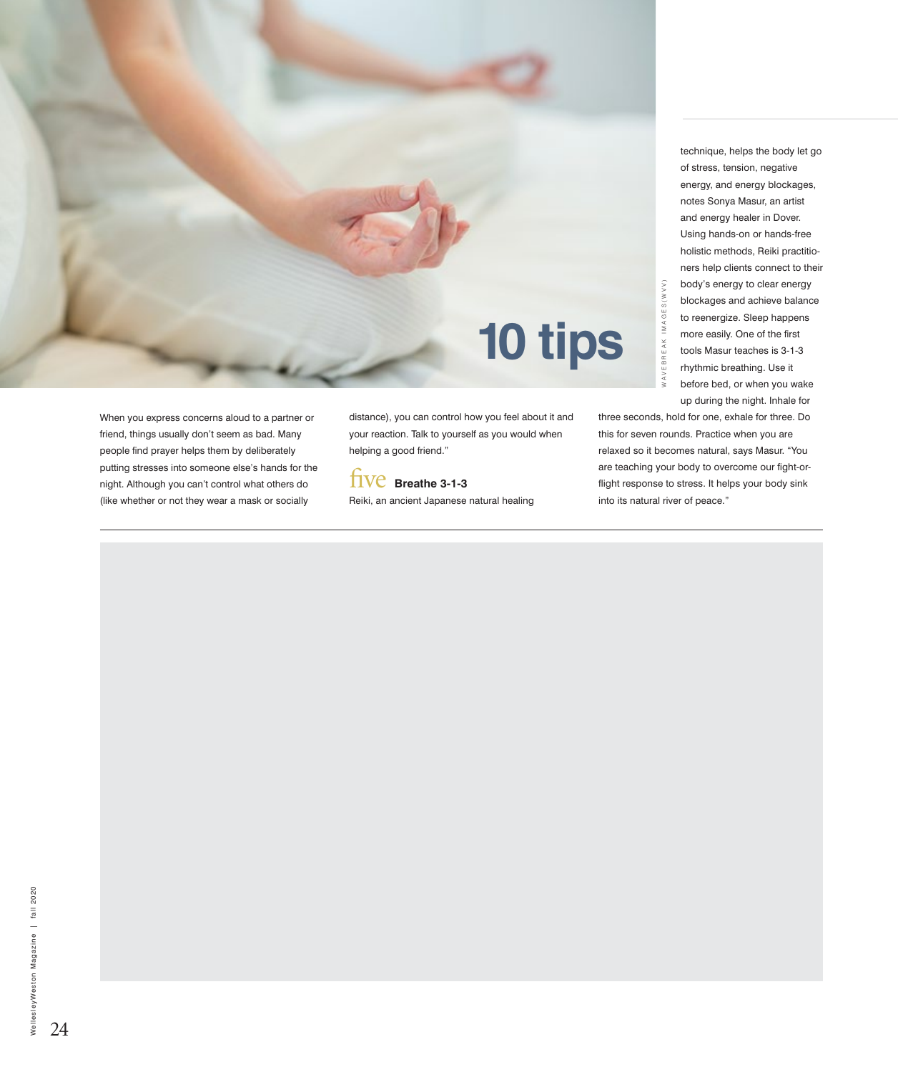

When you express concerns aloud to a partner or friend, things usually don't seem as bad. Many people find prayer helps them by deliberately putting stresses into someone else's hands for the night. Although you can't control what others do (like whether or not they wear a mask or socially

distance), you can control how you feel about it and your reaction. Talk to yourself as you would when helping a good friend."

five **Breathe 3-1-3** Reiki, an ancient Japanese natural healing

technique, helps the body let go of stress, tension, negative energy, and energy blockages, notes Sonya Masur, an artist and energy healer in Dover. Using hands-on or hands-free holistic methods, Reiki practitioners help clients connect to their body's energy to clear energy blockages and achieve balance to reenergize. Sleep happens more easily. One of the first tools Masur teaches is 3-1-3 rhythmic breathing. Use it before bed, or when you wake up during the night. Inhale for

three seconds, hold for one, exhale for three. Do this for seven rounds. Practice when you are relaxed so it becomes natural, says Masur. "You are teaching your body to overcome our fight-orflight response to stress. It helps your body sink body's ene<br>
blockages<br>
sto reenergi:<br>
stockages<br>
to reenergi:<br>
stockages<br>
the execution of peace."<br>
stock Masu<br>
thythmic brown be bed<br>
up during the bed<br>
up during the bed<br>
up during the bed<br>
these seconds, hold for one, e

24